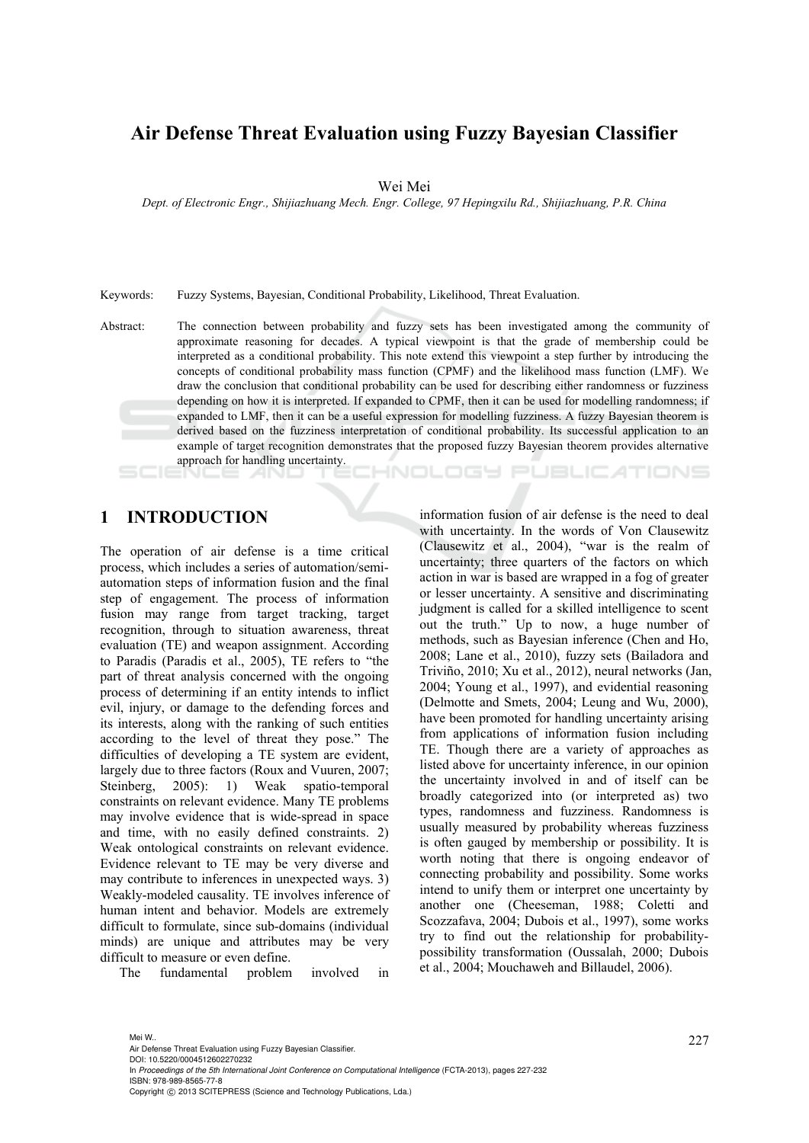## **Air Defense Threat Evaluation using Fuzzy Bayesian Classifier**

Wei Mei

*Dept. of Electronic Engr., Shijiazhuang Mech. Engr. College, 97 Hepingxilu Rd., Shijiazhuang, P.R. China* 

Keywords: Fuzzy Systems, Bayesian, Conditional Probability, Likelihood, Threat Evaluation.

Abstract: The connection between probability and fuzzy sets has been investigated among the community of approximate reasoning for decades. A typical viewpoint is that the grade of membership could be interpreted as a conditional probability. This note extend this viewpoint a step further by introducing the concepts of conditional probability mass function (CPMF) and the likelihood mass function (LMF). We draw the conclusion that conditional probability can be used for describing either randomness or fuzziness depending on how it is interpreted. If expanded to CPMF, then it can be used for modelling randomness; if expanded to LMF, then it can be a useful expression for modelling fuzziness. A fuzzy Bayesian theorem is derived based on the fuzziness interpretation of conditional probability. Its successful application to an example of target recognition demonstrates that the proposed fuzzy Bayesian theorem provides alternative approach for handling uncertainty. HNOLOGY PUBLIC ATIONS

## **1 INTRODUCTION**

The operation of air defense is a time critical process, which includes a series of automation/semiautomation steps of information fusion and the final step of engagement. The process of information fusion may range from target tracking, target recognition, through to situation awareness, threat evaluation (TE) and weapon assignment. According to Paradis (Paradis et al., 2005), TE refers to "the part of threat analysis concerned with the ongoing process of determining if an entity intends to inflict evil, injury, or damage to the defending forces and its interests, along with the ranking of such entities according to the level of threat they pose." The difficulties of developing a TE system are evident, largely due to three factors (Roux and Vuuren, 2007; Steinberg, 2005): 1) Weak spatio-temporal constraints on relevant evidence. Many TE problems may involve evidence that is wide-spread in space and time, with no easily defined constraints. 2) Weak ontological constraints on relevant evidence. Evidence relevant to TE may be very diverse and may contribute to inferences in unexpected ways. 3) Weakly-modeled causality. TE involves inference of human intent and behavior. Models are extremely difficult to formulate, since sub-domains (individual minds) are unique and attributes may be very difficult to measure or even define.

The fundamental problem involved in

information fusion of air defense is the need to deal with uncertainty. In the words of Von Clausewitz (Clausewitz et al., 2004), "war is the realm of uncertainty; three quarters of the factors on which action in war is based are wrapped in a fog of greater or lesser uncertainty. A sensitive and discriminating judgment is called for a skilled intelligence to scent out the truth." Up to now, a huge number of methods, such as Bayesian inference (Chen and Ho, 2008; Lane et al., 2010), fuzzy sets (Bailadora and Triviño, 2010; Xu et al., 2012), neural networks (Jan, 2004; Young et al., 1997), and evidential reasoning (Delmotte and Smets, 2004; Leung and Wu, 2000), have been promoted for handling uncertainty arising from applications of information fusion including TE. Though there are a variety of approaches as listed above for uncertainty inference, in our opinion the uncertainty involved in and of itself can be broadly categorized into (or interpreted as) two types, randomness and fuzziness. Randomness is usually measured by probability whereas fuzziness is often gauged by membership or possibility. It is worth noting that there is ongoing endeavor of connecting probability and possibility. Some works intend to unify them or interpret one uncertainty by another one (Cheeseman, 1988; Coletti and Scozzafava, 2004; Dubois et al., 1997), some works try to find out the relationship for probabilitypossibility transformation (Oussalah, 2000; Dubois et al., 2004; Mouchaweh and Billaudel, 2006).

Mei W..<br>Air Defense Threat Evaluation using Fuzzy Bayesian Classifier.

DOI: 10.5220/0004512602270232

In *Proceedings of the 5th International Joint Conference on Computational Intelligence* (FCTA-2013), pages 227-232 ISBN: 978-989-8565-77-8

Copyright © 2013 SCITEPRESS (Science and Technology Publications, Lda.)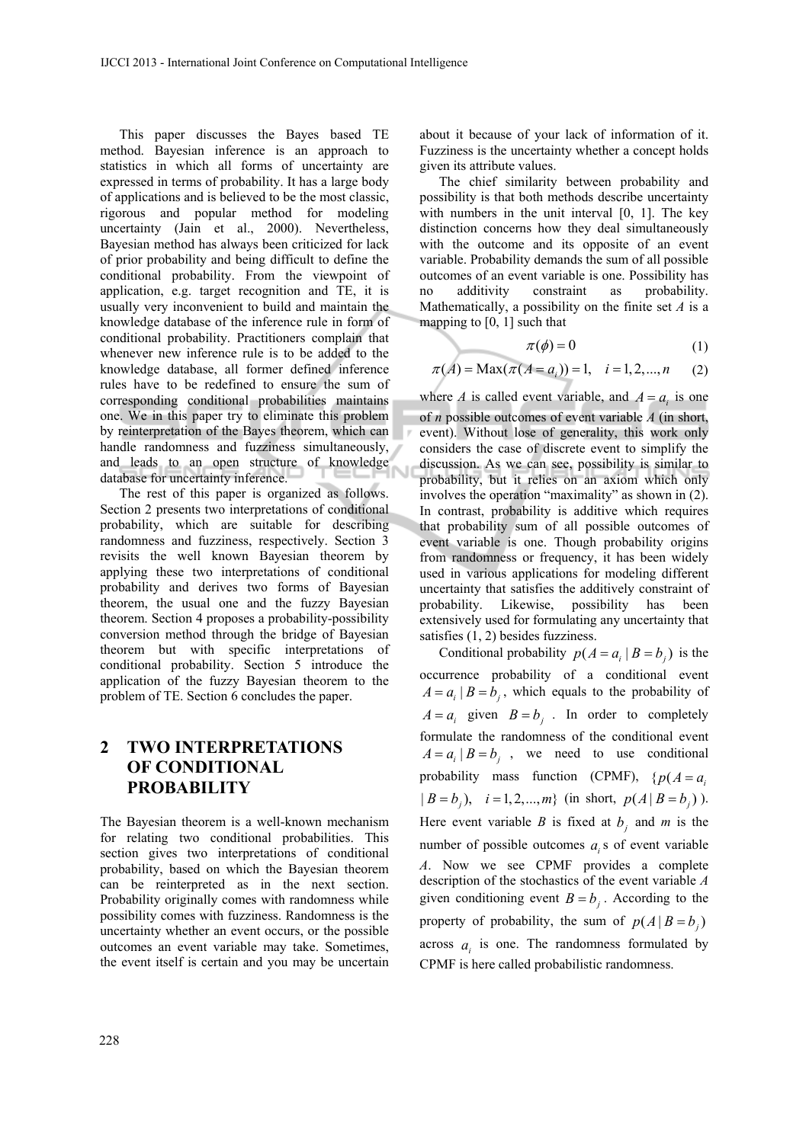This paper discusses the Bayes based TE method. Bayesian inference is an approach to statistics in which all forms of uncertainty are expressed in terms of probability. It has a large body of applications and is believed to be the most classic, rigorous and popular method for modeling uncertainty (Jain et al., 2000). Nevertheless, Bayesian method has always been criticized for lack of prior probability and being difficult to define the conditional probability. From the viewpoint of application, e.g. target recognition and TE, it is usually very inconvenient to build and maintain the knowledge database of the inference rule in form of conditional probability. Practitioners complain that whenever new inference rule is to be added to the knowledge database, all former defined inference rules have to be redefined to ensure the sum of corresponding conditional probabilities maintains one. We in this paper try to eliminate this problem by reinterpretation of the Bayes theorem, which can handle randomness and fuzziness simultaneously, and leads to an open structure of knowledge database for uncertainty inference.

The rest of this paper is organized as follows. Section 2 presents two interpretations of conditional probability, which are suitable for describing randomness and fuzziness, respectively. Section 3 revisits the well known Bayesian theorem by applying these two interpretations of conditional probability and derives two forms of Bayesian theorem, the usual one and the fuzzy Bayesian theorem. Section 4 proposes a probability-possibility conversion method through the bridge of Bayesian theorem but with specific interpretations of conditional probability. Section 5 introduce the application of the fuzzy Bayesian theorem to the problem of TE. Section 6 concludes the paper.

# **2 TWO INTERPRETATIONS OF CONDITIONAL PROBABILITY**

The Bayesian theorem is a well-known mechanism for relating two conditional probabilities. This section gives two interpretations of conditional probability, based on which the Bayesian theorem can be reinterpreted as in the next section. Probability originally comes with randomness while possibility comes with fuzziness. Randomness is the uncertainty whether an event occurs, or the possible outcomes an event variable may take. Sometimes, the event itself is certain and you may be uncertain

about it because of your lack of information of it. Fuzziness is the uncertainty whether a concept holds given its attribute values.

The chief similarity between probability and possibility is that both methods describe uncertainty with numbers in the unit interval [0, 1]. The key distinction concerns how they deal simultaneously with the outcome and its opposite of an event variable. Probability demands the sum of all possible outcomes of an event variable is one. Possibility has no additivity constraint as probability. Mathematically, a possibility on the finite set *A* is a mapping to  $[0, 1]$  such that

$$
\pi(\phi) = 0 \tag{1}
$$

$$
\pi(A) = \text{Max}(\pi(A = a_i)) = 1, \quad i = 1, 2, ..., n \tag{2}
$$

where *A* is called event variable, and  $A = a_i$  is one of *n* possible outcomes of event variable *A* (in short, event). Without lose of generality, this work only considers the case of discrete event to simplify the discussion. As we can see, possibility is similar to probability, but it relies on an axiom which only involves the operation "maximality" as shown in (2). In contrast, probability is additive which requires that probability sum of all possible outcomes of event variable is one. Though probability origins from randomness or frequency, it has been widely used in various applications for modeling different uncertainty that satisfies the additively constraint of probability. Likewise, possibility has been extensively used for formulating any uncertainty that satisfies (1, 2) besides fuzziness.

Conditional probability  $p(A = a_i | B = b_i)$  is the occurrence probability of a conditional event  $A = a_i | B = b_i$ , which equals to the probability of  $A = a_i$  given  $B = b_i$ . In order to completely formulate the randomness of the conditional event  $A = a_i | B = b_i$ , we need to use conditional probability mass function (CPMF),  $\{p(A = a)$  $| B = b_i$ ,  $i = 1, 2, ..., m$  (in short,  $p(A | B = b_i)$ ). Here event variable *B* is fixed at  $b_i$  and *m* is the number of possible outcomes  $a_i$  s of event variable *A*. Now we see CPMF provides a complete description of the stochastics of the event variable *A* given conditioning event  $B = b_i$ . According to the property of probability, the sum of  $p(A | B = b_i)$ across  $a_i$  is one. The randomness formulated by CPMF is here called probabilistic randomness.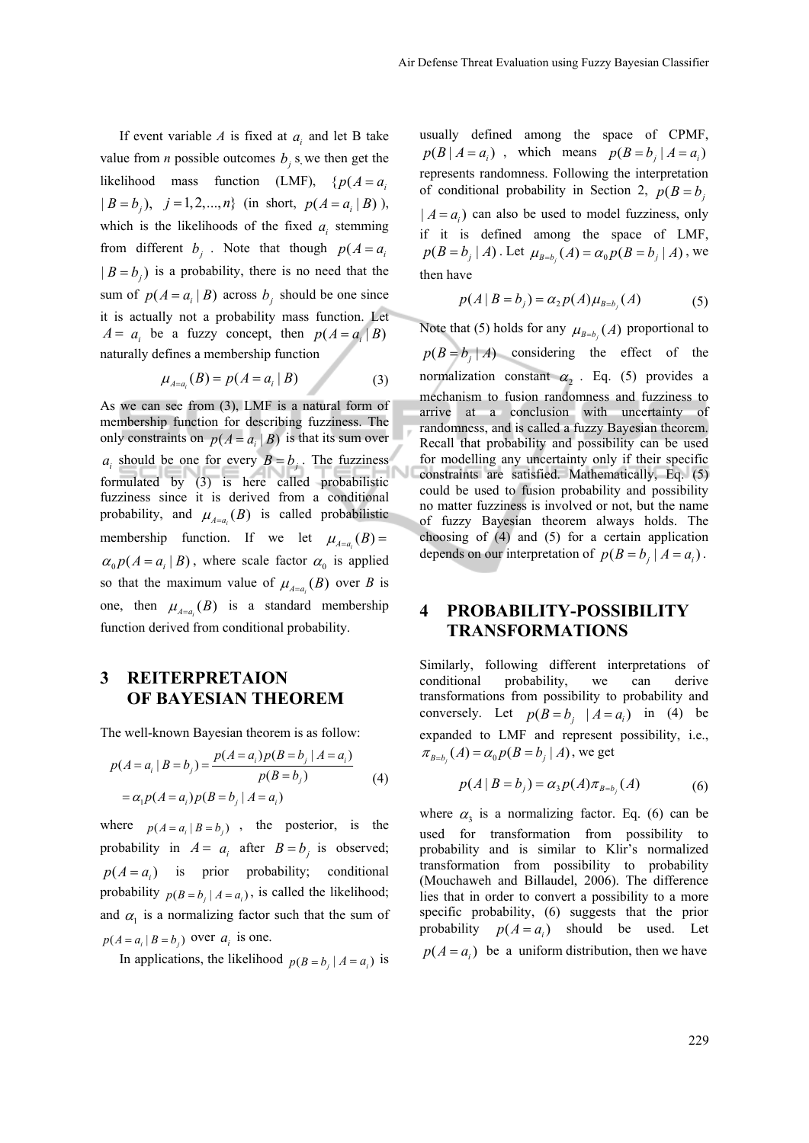If event variable *A* is fixed at  $a_i$  and let B take value from *n* possible outcomes  $b_i$ , *s*, we then get the likelihood mass function (LMF),  $\{p(A = a)\}$  $| B = b_i$ ,  $j = 1, 2, ..., n$ } (in short,  $p(A = a_i | B)$ ), which is the likelihoods of the fixed  $a_i$  stemming from different  $b_i$ . Note that though  $p(A = a_i)$  $| B = b_i$ ) is a probability, there is no need that the sum of  $p(A = a_i | B)$  across  $b_i$  should be one since it is actually not a probability mass function. Let  $A = a_i$  be a fuzzy concept, then  $p(A = a_i | B)$ naturally defines a membership function

$$
\mu_{A=a_i}(B) = p(A = a_i | B)
$$
 (3)

As we can see from (3), LMF is a natural form of membership function for describing fuzziness. The only constraints on  $p(A = a_i | B)$  is that its sum over  $a_i$  should be one for every  $B = b_i$ . The fuzziness formulated by (3) is here called probabilistic fuzziness since it is derived from a conditional probability, and  $\mu_{A=a}(B)$  is called probabilistic membership function. If we let  $\mu_{A=a} (B) =$  $\alpha_0 p(A = a_i | B)$ , where scale factor  $\alpha_0$  is applied so that the maximum value of  $\mu_{A=a_i}(B)$  over *B* is one, then  $\mu_{A=a}(B)$  is a standard membership function derived from conditional probability.

## **3 REITERPRETAION OF BAYESIAN THEOREM**

The well-known Bayesian theorem is as follow:

$$
p(A = a_i | B = b_j) = \frac{p(A = a_i)p(B = b_j | A = a_i)}{p(B = b_j)}
$$
  
=  $\alpha_1 p(A = a_i)p(B = b_j | A = a_i)$  (4)

where  $p(A = a_i | B = b_i)$ , the posterior, is the probability in  $A = a_i$  after  $B = b_i$  is observed;  $p(A = a_i)$  is prior probability; conditional probability  $p(B = b, |A = a_i)$ , is called the likelihood; and  $\alpha_1$  is a normalizing factor such that the sum of  $p(A = a_i | B = b_i)$  over  $a_i$  is one.

In applications, the likelihood  $p(B = b_i | A = a_i)$  is

usually defined among the space of CPMF,  $p(B \mid A = a_i)$ , which means  $p(B = b_i \mid A = a_i)$ represents randomness. Following the interpretation of conditional probability in Section 2,  $p(B = b)$  $| A = a_i$  can also be used to model fuzziness, only if it is defined among the space of LMF,  $p(B = b_i | A)$ . Let  $\mu_{B=b_i}(A) = \alpha_0 p(B = b_i | A)$ , we then have

$$
p(A | B = b_j) = \alpha_2 p(A) \mu_{B=b_j}(A)
$$
 (5)

Note that (5) holds for any  $\mu_{B=b}$  (*A*) proportional to  $p(B = b_i | A)$  considering the effect of the normalization constant  $\alpha$ <sub>2</sub>. Eq. (5) provides a mechanism to fusion randomness and fuzziness to arrive at a conclusion with uncertainty of randomness, and is called a fuzzy Bayesian theorem. Recall that probability and possibility can be used for modelling any uncertainty only if their specific constraints are satisfied. Mathematically, Eq. (5) could be used to fusion probability and possibility no matter fuzziness is involved or not, but the name of fuzzy Bayesian theorem always holds. The choosing of (4) and (5) for a certain application depends on our interpretation of  $p(B = b_i | A = a_i)$ .

#### **4 PROBABILITY-POSSIBILITY TRANSFORMATIONS**

Similarly, following different interpretations of conditional probability, we can derive transformations from possibility to probability and conversely. Let  $p(B = b_i | A = a_i)$  in (4) be expanded to LMF and represent possibility, i.e.,  $\pi_{B=b_i}(A) = \alpha_0 p(B = b_i | A)$ , we get

$$
p(A | B = b_j) = \alpha_3 p(A) \pi_{B=b_j}(A)
$$
 (6)

where  $\alpha_3$  is a normalizing factor. Eq. (6) can be used for transformation from possibility to probability and is similar to Klir's normalized transformation from possibility to probability (Mouchaweh and Billaudel, 2006). The difference lies that in order to convert a possibility to a more specific probability, (6) suggests that the prior probability  $p(A = a_i)$  should be used. Let  $p(A = a_i)$  be a uniform distribution, then we have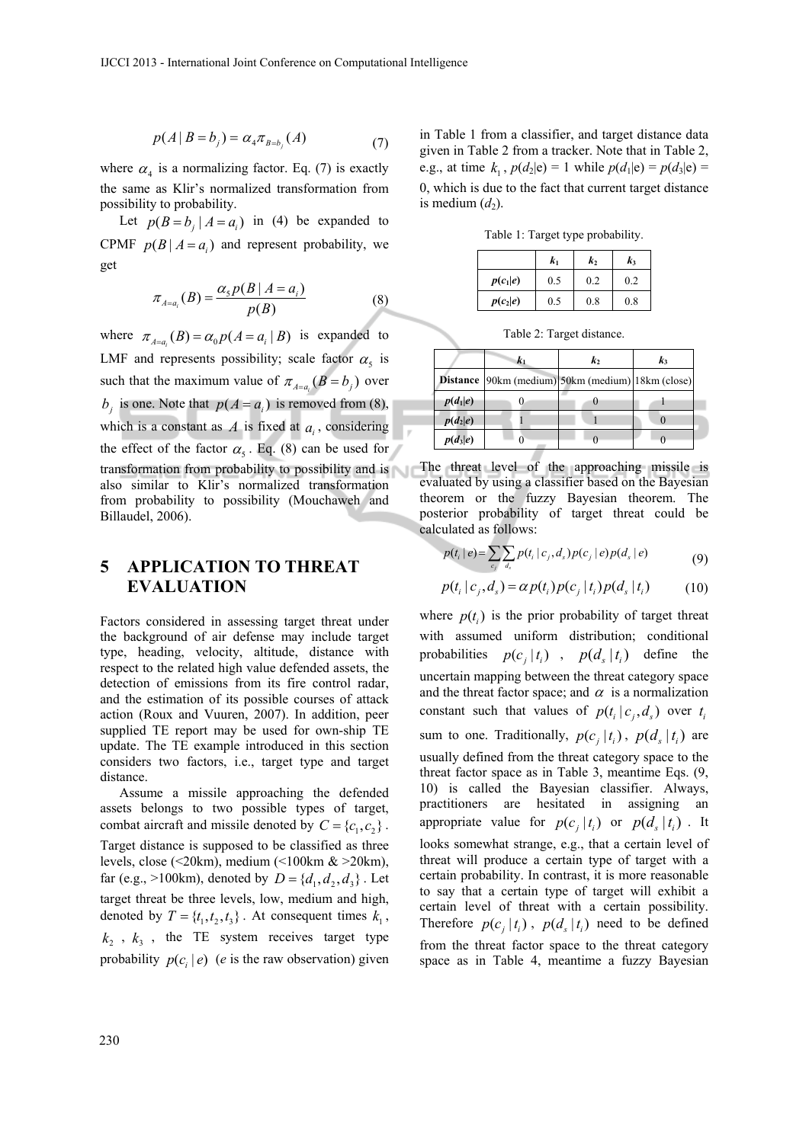$$
p(A | B = b_j) = \alpha_4 \pi_{B=b_j}(A)
$$
 (7)

where  $\alpha_4$  is a normalizing factor. Eq. (7) is exactly the same as Klir's normalized transformation from possibility to probability.

Let  $p(B = b_i | A = a_i)$  in (4) be expanded to CPMF  $p(B | A = a_i)$  and represent probability, we get

$$
\pi_{A=a_i}(B) = \frac{\alpha_s p(B \mid A = a_i)}{p(B)}\tag{8}
$$

where  $\pi_{A=a} (B) = \alpha_0 p(A = a_i | B)$  is expanded to LMF and represents possibility; scale factor  $\alpha_5$  is such that the maximum value of  $\pi_{A=a}$   $(B = b_i)$  over  $b_i$  is one. Note that  $p(A = a_i)$  is removed from (8), which is a constant as  $A$  is fixed at  $a_i$ , considering the effect of the factor  $\alpha_5$ . Eq. (8) can be used for transformation from probability to possibility and is also similar to Klir's normalized transformation from probability to possibility (Mouchaweh and Billaudel, 2006).

#### **5 APPLICATION TO THREAT EVALUATION**

Factors considered in assessing target threat under the background of air defense may include target type, heading, velocity, altitude, distance with respect to the related high value defended assets, the detection of emissions from its fire control radar, and the estimation of its possible courses of attack action (Roux and Vuuren, 2007). In addition, peer supplied TE report may be used for own-ship TE update. The TE example introduced in this section considers two factors, i.e., target type and target distance.

Assume a missile approaching the defended assets belongs to two possible types of target, combat aircraft and missile denoted by  $C = \{c_1, c_2\}$ . Target distance is supposed to be classified as three levels, close (<20km), medium (<100km & >20km), far (e.g., >100km), denoted by  $D = \{d_1, d_2, d_3\}$ . Let target threat be three levels, low, medium and high, denoted by  $T = \{t_1, t_2, t_3\}$ . At consequent times  $k_1$ ,  $k_2$ ,  $k_3$ , the TE system receives target type probability  $p(c_i | e)$  (*e* is the raw observation) given

in Table 1 from a classifier, and target distance data given in Table 2 from a tracker. Note that in Table 2, e.g., at time  $k_1$ ,  $p(d_2|e) = 1$  while  $p(d_1|e) = p(d_3|e) =$ 0, which is due to the fact that current target distance is medium  $(d_2)$ .

Table 1: Target type probability.

|            | k1  | k,  | k3  |
|------------|-----|-----|-----|
| $p(c_1 e)$ | 0.5 | 0.2 | 0.2 |
| $p(c_2 e)$ | 0.5 | 0.8 | 0.8 |

Table 2: Target distance.

|            | $\mathbf{k}_1$                                           | $\mathbf{k}_{2}$ | $\mathbf{k}_3$ |
|------------|----------------------------------------------------------|------------------|----------------|
|            | <b>Distance</b> 90km (medium) 50km (medium) 18km (close) |                  |                |
| $p(d_1 e)$ |                                                          |                  |                |
| $p(d_2 e)$ |                                                          |                  |                |
| $p(d_3 e)$ |                                                          |                  |                |

The threat level of the approaching missile is evaluated by using a classifier based on the Bayesian theorem or the fuzzy Bayesian theorem. The posterior probability of target threat could be calculated as follows:

$$
p(t_i | e) = \sum_{c_j} \sum_{d_s} p(t_i | c_j, d_s) p(c_j | e) p(d_s | e)
$$
(9)

$$
p(t_i | c_j, d_s) = \alpha p(t_i) p(c_j | t_i) p(d_s | t_i)
$$
 (10)

where  $p(t_i)$  is the prior probability of target threat with assumed uniform distribution; conditional probabilities  $p(c_i | t_i)$ ,  $p(d_s | t_i)$  define the uncertain mapping between the threat category space and the threat factor space; and  $\alpha$  is a normalization constant such that values of  $p(t_i | c_i, d_s)$  over  $t_i$ sum to one. Traditionally,  $p(c_i | t_i)$ ,  $p(d_s | t_i)$  are usually defined from the threat category space to the threat factor space as in Table 3, meantime Eqs. (9, 10) is called the Bayesian classifier. Always, practitioners are hesitated in assigning an appropriate value for  $p(c_i | t_i)$  or  $p(d_s | t_i)$ . It looks somewhat strange, e.g., that a certain level of threat will produce a certain type of target with a certain probability. In contrast, it is more reasonable to say that a certain type of target will exhibit a certain level of threat with a certain possibility. Therefore  $p(c_i | t_i)$ ,  $p(d_s | t_i)$  need to be defined from the threat factor space to the threat category space as in Table 4, meantime a fuzzy Bayesian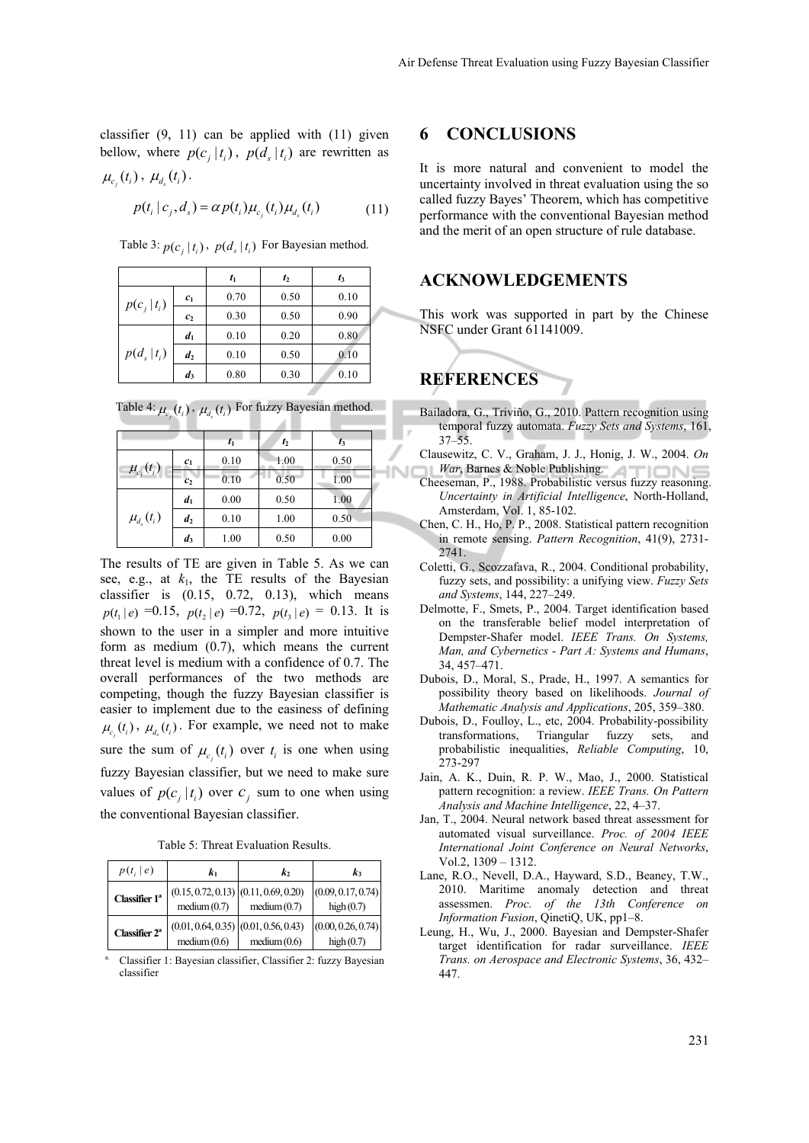classifier  $(9, 11)$  can be applied with  $(11)$  given bellow, where  $p(c_i | t_i)$ ,  $p(d_s | t_i)$  are rewritten as  $\mu_{c_i}(t_i)$ ,  $\mu_{d_s}(t_i)$ .

$$
p(t_i | c_j, d_s) = \alpha p(t_i) \mu_{c_j}(t_i) \mu_{d_s}(t_i)
$$
\n(11)

Table 3:  $p(c_i | t_i)$ ,  $p(d_i | t_i)$  For Bayesian method.

|                |                | $t_1$ | $t_2$ | $t_3$ |
|----------------|----------------|-------|-------|-------|
| $p(c_i t_i)$   | c <sub>1</sub> | 0.70  | 0.50  | 0.10  |
|                | c <sub>2</sub> | 0.30  | 0.50  | 0.90  |
| $p(d_s   t_i)$ | d <sub>1</sub> | 0.10  | 0.20  | 0.80  |
|                | d <sub>2</sub> | 0.10  | 0.50  | 0.10  |
|                | $d_3$          | 0.80  | 0.30  | 0.10  |

Table 4:  $\mu_{c_i}(t_i)$ ,  $\mu_{d_s}(t_i)$  For fuzzy Bayesian method.

|                  |                | $t_1$ | $t_2$ | $t_3$ |  |
|------------------|----------------|-------|-------|-------|--|
| $\mu_{c_i}(t_i)$ | $c_{1}$        | 0.10  | 1.00  | 0.50  |  |
|                  | c <sub>2</sub> | 0.10  | 0.50  | 1.00  |  |
| $\mu_{d_s}(t_i)$ | d <sub>1</sub> | 0.00  | 0.50  | 1.00  |  |
|                  | d <sub>2</sub> | 0.10  | 1.00  | 0.50  |  |
|                  | $d_3$          | 1.00  | 0.50  | 0.00  |  |

The results of TE are given in Table 5. As we can see, e.g., at  $k_1$ , the TE results of the Bayesian classifier is (0.15, 0.72, 0.13), which means  $p(t_1 | e) = 0.15$ ,  $p(t_2 | e) = 0.72$ ,  $p(t_3 | e) = 0.13$ . It is shown to the user in a simpler and more intuitive form as medium (0.7), which means the current threat level is medium with a confidence of 0.7. The overall performances of the two methods are competing, though the fuzzy Bayesian classifier is easier to implement due to the easiness of defining  $\mu_{c_i}(t_i)$ ,  $\mu_{d_s}(t_i)$ . For example, we need not to make sure the sum of  $\mu_{c_i}(t_i)$  over  $t_i$  is one when using fuzzy Bayesian classifier, but we need to make sure values of  $p(c_i | t_i)$  over  $c_i$  sum to one when using the conventional Bayesian classifier.

Table 5: Threat Evaluation Results.

| $p(t_i   e)$              | k1                                                       | k,          | k,                                 |
|---------------------------|----------------------------------------------------------|-------------|------------------------------------|
| Classifier 1 <sup>ª</sup> | $(0.15, 0.72, 0.13)$ $(0.11, 0.69, 0.20)$<br>medium(0.7) | medium(0.7) | (0.09, 0.17, 0.74)<br>high $(0.7)$ |
| Classifier $2^a$          | $(0.01, 0.64, 0.35)$ $(0.01, 0.56, 0.43)$<br>medium(0.6) | medium(0.6) | (0.00, 0.26, 0.74)<br>high $(0.7)$ |

a. Classifier 1: Bayesian classifier, Classifier 2: fuzzy Bayesian classifier

#### **6 CONCLUSIONS**

It is more natural and convenient to model the uncertainty involved in threat evaluation using the so called fuzzy Bayes' Theorem, which has competitive performance with the conventional Bayesian method and the merit of an open structure of rule database.

#### **ACKNOWLEDGEMENTS**

This work was supported in part by the Chinese NSFC under Grant 61141009.

# **REFERENCES**

- Bailadora, G., Triviño, G., 2010. Pattern recognition using temporal fuzzy automata. *Fuzzy Sets and Systems*, 161, 37–55.
- Clausewitz, C. V., Graham, J. J., Honig, J. W., 2004. *On War*, Barnes & Noble Publishing.
- Cheeseman, P., 1988. Probabilistic versus fuzzy reasoning. *Uncertainty in Artificial Intelligence*, North-Holland, Amsterdam, Vol. 1, 85-102.
- Chen, C. H., Ho, P. P., 2008. Statistical pattern recognition in remote sensing. *Pattern Recognition*, 41(9), 2731- 2741.
- Coletti, G., Scozzafava, R., 2004. Conditional probability, fuzzy sets, and possibility: a unifying view. *Fuzzy Sets and Systems*, 144, 227–249.
- Delmotte, F., Smets, P., 2004. Target identification based on the transferable belief model interpretation of Dempster-Shafer model. *IEEE Trans. On Systems, Man, and Cybernetics - Part A: Systems and Humans*, 34, 457–471.
- Dubois, D., Moral, S., Prade, H., 1997. A semantics for possibility theory based on likelihoods. *Journal of Mathematic Analysis and Applications*, 205, 359–380.
- Dubois, D., Foulloy, L., etc, 2004. Probability-possibility transformations, Triangular fuzzy sets, and probabilistic inequalities, *Reliable Computing*, 10, 273-297
- Jain, A. K., Duin, R. P. W., Mao, J., 2000. Statistical pattern recognition: a review. *IEEE Trans. On Pattern Analysis and Machine Intelligence*, 22, 4–37.
- Jan, T., 2004. Neural network based threat assessment for automated visual surveillance. *Proc. of 2004 IEEE International Joint Conference on Neural Networks*, Vol.2, 1309 – 1312.
- Lane, R.O., Nevell, D.A., Hayward, S.D., Beaney, T.W., 2010. Maritime anomaly detection and threat assessmen. *Proc. of the 13th Conference on Information Fusion*, QinetiQ, UK, pp1–8.
- Leung, H., Wu, J., 2000. Bayesian and Dempster-Shafer target identification for radar surveillance. *IEEE Trans. on Aerospace and Electronic Systems*, 36, 432– 447.